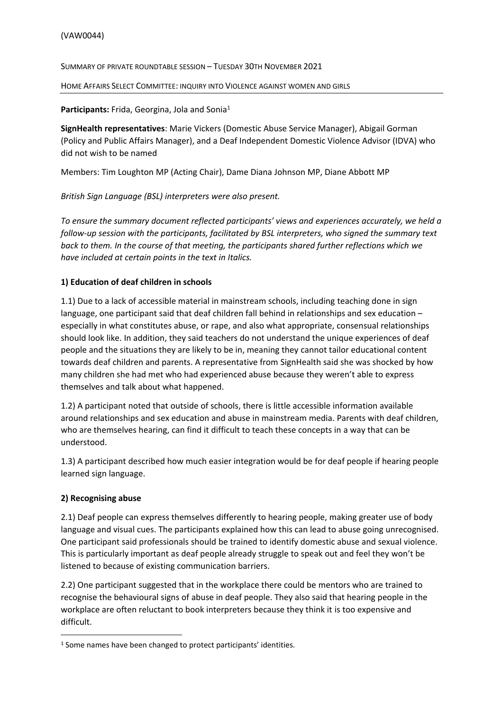SUMMARY OF PRIVATE ROUNDTABLE SESSION – TUESDAY 30TH NOVEMBER 2021

HOME AFFAIRS SELECT COMMITTEE: INQUIRY INTO VIOLENCE AGAINST WOMEN AND GIRLS

#### Participants: Frida, Georgina, Jola and Sonia<sup>1</sup>

**SignHealth representatives**: Marie Vickers (Domestic Abuse Service Manager), Abigail Gorman (Policy and Public Affairs Manager), and a Deaf Independent Domestic Violence Advisor (IDVA) who did not wish to be named

Members: Tim Loughton MP (Acting Chair), Dame Diana Johnson MP, Diane Abbott MP

*British Sign Language (BSL) interpreters were also present.*

*To ensure the summary document reflected participants' views and experiences accurately, we held a follow-up session with the participants, facilitated by BSL interpreters, who signed the summary text back to them. In the course of that meeting, the participants shared further reflections which we have included at certain points in the text in Italics.*

### **1) Education of deaf children in schools**

1.1) Due to a lack of accessible material in mainstream schools, including teaching done in sign language, one participant said that deaf children fall behind in relationships and sex education – especially in what constitutes abuse, or rape, and also what appropriate, consensual relationships should look like. In addition, they said teachers do not understand the unique experiences of deaf people and the situations they are likely to be in, meaning they cannot tailor educational content towards deaf children and parents. A representative from SignHealth said she was shocked by how many children she had met who had experienced abuse because they weren't able to express themselves and talk about what happened.

1.2) A participant noted that outside of schools, there is little accessible information available around relationships and sex education and abuse in mainstream media. Parents with deaf children, who are themselves hearing, can find it difficult to teach these concepts in a way that can be understood.

1.3) A participant described how much easier integration would be for deaf people if hearing people learned sign language.

### **2) Recognising abuse**

2.1) Deaf people can express themselves differently to hearing people, making greater use of body language and visual cues. The participants explained how this can lead to abuse going unrecognised. One participant said professionals should be trained to identify domestic abuse and sexual violence. This is particularly important as deaf people already struggle to speak out and feel they won't be listened to because of existing communication barriers.

2.2) One participant suggested that in the workplace there could be mentors who are trained to recognise the behavioural signs of abuse in deaf people. They also said that hearing people in the workplace are often reluctant to book interpreters because they think it is too expensive and difficult.

<sup>&</sup>lt;sup>1</sup> Some names have been changed to protect participants' identities.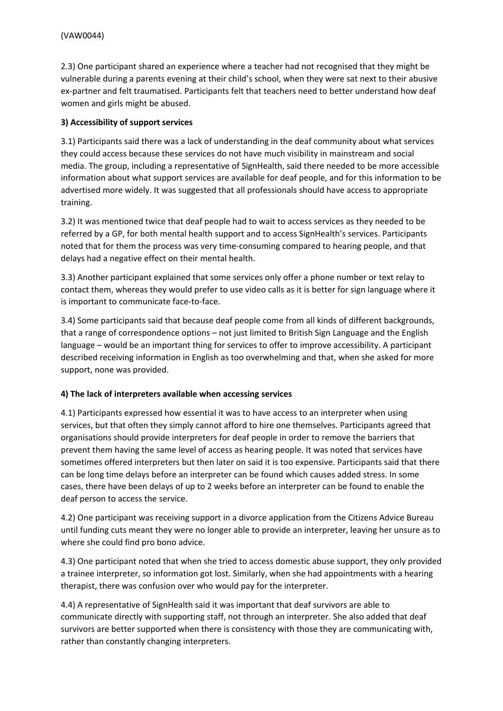2.3) One participant shared an experience where a teacher had not recognised that they might be vulnerable during a parents evening at their child's school, when they were sat next to their abusive ex-partner and felt traumatised. Participants felt that teachers need to better understand how deaf women and girls might be abused.

### **3) Accessibility of support services**

3.1) Participants said there was a lack of understanding in the deaf community about what services they could access because these services do not have much visibility in mainstream and social media. The group, including a representative of SignHealth, said there needed to be more accessible information about what support services are available for deaf people, and for this information to be advertised more widely. It was suggested that all professionals should have access to appropriate training.

3.2) It was mentioned twice that deaf people had to wait to access services as they needed to be referred by a GP, for both mental health support and to access SignHealth's services. Participants noted that for them the process was very time-consuming compared to hearing people, and that delays had a negative effect on their mental health.

3.3) Another participant explained that some services only offer a phone number or text relay to contact them, whereas they would prefer to use video calls as it is better for sign language where it is important to communicate face-to-face.

3.4) Some participants said that because deaf people come from all kinds of different backgrounds, that a range of correspondence options – not just limited to British Sign Language and the English language – would be an important thing for services to offer to improve accessibility. A participant described receiving information in English as too overwhelming and that, when she asked for more support, none was provided.

### **4) The lack of interpreters available when accessing services**

4.1) Participants expressed how essential it was to have access to an interpreter when using services, but that often they simply cannot afford to hire one themselves. Participants agreed that organisations should provide interpreters for deaf people in order to remove the barriers that prevent them having the same level of access as hearing people. It was noted that services have sometimes offered interpreters but then later on said it is too expensive. Participants said that there can be long time delays before an interpreter can be found which causes added stress. In some cases, there have been delays of up to 2 weeks before an interpreter can be found to enable the deaf person to access the service.

4.2) One participant was receiving support in a divorce application from the Citizens Advice Bureau until funding cuts meant they were no longer able to provide an interpreter, leaving her unsure as to where she could find pro bono advice.

4.3) One participant noted that when she tried to access domestic abuse support, they only provided a trainee interpreter, so information got lost. Similarly, when she had appointments with a hearing therapist, there was confusion over who would pay for the interpreter.

4.4) A representative of SignHealth said it was important that deaf survivors are able to communicate directly with supporting staff, not through an interpreter. She also added that deaf survivors are better supported when there is consistency with those they are communicating with, rather than constantly changing interpreters.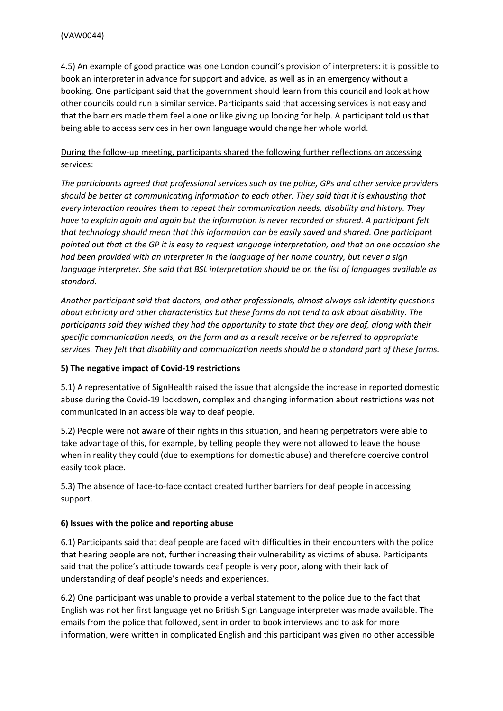4.5) An example of good practice was one London council's provision of interpreters: it is possible to book an interpreter in advance for support and advice, as well as in an emergency without a booking. One participant said that the government should learn from this council and look at how other councils could run a similar service. Participants said that accessing services is not easy and that the barriers made them feel alone or like giving up looking for help. A participant told us that being able to access services in her own language would change her whole world.

# During the follow-up meeting, participants shared the following further reflections on accessing services:

*The participants agreed that professional services such as the police, GPs and other service providers should be better at communicating information to each other. They said that it is exhausting that every interaction requires them to repeat their communication needs, disability and history. They have to explain again and again but the information is never recorded or shared. A participant felt that technology should mean that this information can be easily saved and shared. One participant* pointed out that at the GP it is easy to request language interpretation, and that on one occasion she *had been provided with an interpreter in the language of her home country, but never a sign language interpreter. She said that BSL interpretation should be on the list of languages available as standard.*

*Another participant said that doctors, and other professionals, almost always ask identity questions about ethnicity and other characteristics but these forms do not tend to ask about disability. The participants said they wished they had the opportunity to state that they are deaf, along with their specific communication needs, on the form and as a result receive or be referred to appropriate services. They felt that disability and communication needs should be a standard part of these forms.*

### **5) The negative impact of Covid-19 restrictions**

5.1) A representative of SignHealth raised the issue that alongside the increase in reported domestic abuse during the Covid-19 lockdown, complex and changing information about restrictions was not communicated in an accessible way to deaf people.

5.2) People were not aware of their rights in this situation, and hearing perpetrators were able to take advantage of this, for example, by telling people they were not allowed to leave the house when in reality they could (due to exemptions for domestic abuse) and therefore coercive control easily took place.

5.3) The absence of face-to-face contact created further barriers for deaf people in accessing support.

### **6) Issues with the police and reporting abuse**

6.1) Participants said that deaf people are faced with difficulties in their encounters with the police that hearing people are not, further increasing their vulnerability as victims of abuse. Participants said that the police's attitude towards deaf people is very poor, along with their lack of understanding of deaf people's needs and experiences.

6.2) One participant was unable to provide a verbal statement to the police due to the fact that English was not her first language yet no British Sign Language interpreter was made available. The emails from the police that followed, sent in order to book interviews and to ask for more information, were written in complicated English and this participant was given no other accessible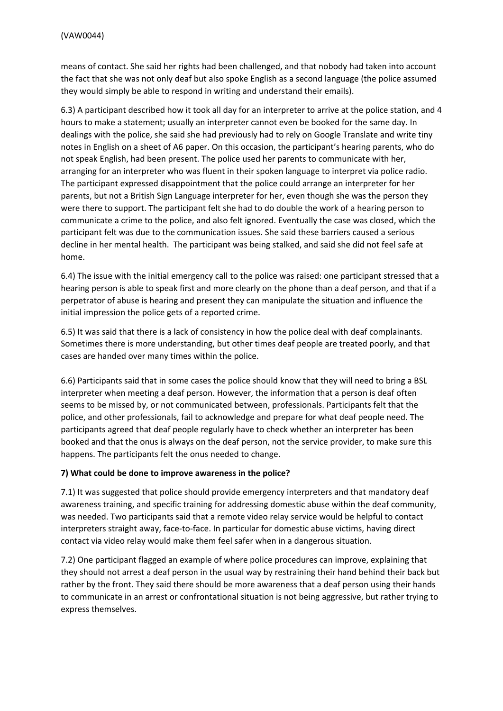means of contact. She said her rights had been challenged, and that nobody had taken into account the fact that she was not only deaf but also spoke English as a second language (the police assumed they would simply be able to respond in writing and understand their emails).

6.3) A participant described how it took all day for an interpreter to arrive at the police station, and 4 hours to make a statement; usually an interpreter cannot even be booked for the same day. In dealings with the police, she said she had previously had to rely on Google Translate and write tiny notes in English on a sheet of A6 paper. On this occasion, the participant's hearing parents, who do not speak English, had been present. The police used her parents to communicate with her, arranging for an interpreter who was fluent in their spoken language to interpret via police radio. The participant expressed disappointment that the police could arrange an interpreter for her parents, but not a British Sign Language interpreter for her, even though she was the person they were there to support. The participant felt she had to do double the work of a hearing person to communicate a crime to the police, and also felt ignored. Eventually the case was closed, which the participant felt was due to the communication issues. She said these barriers caused a serious decline in her mental health. The participant was being stalked, and said she did not feel safe at home.

6.4) The issue with the initial emergency call to the police was raised: one participant stressed that a hearing person is able to speak first and more clearly on the phone than a deaf person, and that if a perpetrator of abuse is hearing and present they can manipulate the situation and influence the initial impression the police gets of a reported crime.

6.5) It was said that there is a lack of consistency in how the police deal with deaf complainants. Sometimes there is more understanding, but other times deaf people are treated poorly, and that cases are handed over many times within the police.

6.6) Participants said that in some cases the police should know that they will need to bring a BSL interpreter when meeting a deaf person. However, the information that a person is deaf often seems to be missed by, or not communicated between, professionals. Participants felt that the police, and other professionals, fail to acknowledge and prepare for what deaf people need. The participants agreed that deaf people regularly have to check whether an interpreter has been booked and that the onus is always on the deaf person, not the service provider, to make sure this happens. The participants felt the onus needed to change.

### **7) What could be done to improve awareness in the police?**

7.1) It was suggested that police should provide emergency interpreters and that mandatory deaf awareness training, and specific training for addressing domestic abuse within the deaf community, was needed. Two participants said that a remote video relay service would be helpful to contact interpreters straight away, face-to-face. In particular for domestic abuse victims, having direct contact via video relay would make them feel safer when in a dangerous situation.

7.2) One participant flagged an example of where police procedures can improve, explaining that they should not arrest a deaf person in the usual way by restraining their hand behind their back but rather by the front. They said there should be more awareness that a deaf person using their hands to communicate in an arrest or confrontational situation is not being aggressive, but rather trying to express themselves.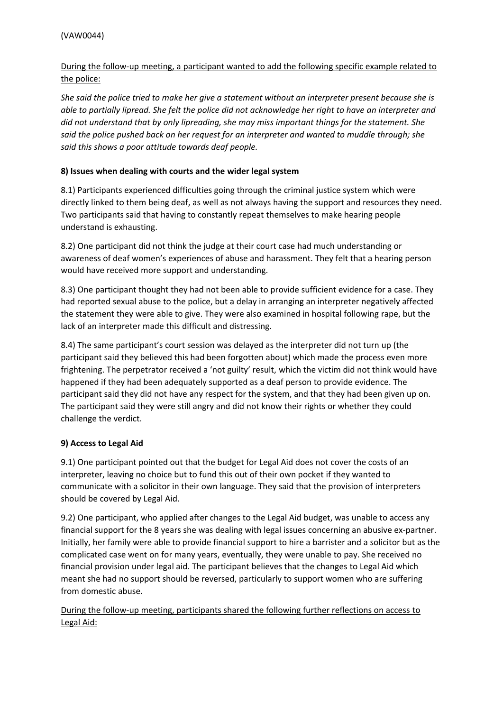# During the follow-up meeting, a participant wanted to add the following specific example related to the police:

She said the police tried to make her give a statement without an interpreter present because she is able to partially lipread. She felt the police did not acknowledge her right to have an interpreter and *did not understand that by only lipreading, she may miss important things for the statement. She said the police pushed back on her request for an interpreter and wanted to muddle through; she said this shows a poor attitude towards deaf people.* 

# **8) Issues when dealing with courts and the wider legal system**

8.1) Participants experienced difficulties going through the criminal justice system which were directly linked to them being deaf, as well as not always having the support and resources they need. Two participants said that having to constantly repeat themselves to make hearing people understand is exhausting.

8.2) One participant did not think the judge at their court case had much understanding or awareness of deaf women's experiences of abuse and harassment. They felt that a hearing person would have received more support and understanding.

8.3) One participant thought they had not been able to provide sufficient evidence for a case. They had reported sexual abuse to the police, but a delay in arranging an interpreter negatively affected the statement they were able to give. They were also examined in hospital following rape, but the lack of an interpreter made this difficult and distressing.

8.4) The same participant's court session was delayed as the interpreter did not turn up (the participant said they believed this had been forgotten about) which made the process even more frightening. The perpetrator received a 'not guilty' result, which the victim did not think would have happened if they had been adequately supported as a deaf person to provide evidence. The participant said they did not have any respect for the system, and that they had been given up on. The participant said they were still angry and did not know their rights or whether they could challenge the verdict.

### **9) Access to Legal Aid**

9.1) One participant pointed out that the budget for Legal Aid does not cover the costs of an interpreter, leaving no choice but to fund this out of their own pocket if they wanted to communicate with a solicitor in their own language. They said that the provision of interpreters should be covered by Legal Aid.

9.2) One participant, who applied after changes to the Legal Aid budget, was unable to access any financial support for the 8 years she was dealing with legal issues concerning an abusive ex-partner. Initially, her family were able to provide financial support to hire a barrister and a solicitor but as the complicated case went on for many years, eventually, they were unable to pay. She received no financial provision under legal aid. The participant believes that the changes to Legal Aid which meant she had no support should be reversed, particularly to support women who are suffering from domestic abuse.

During the follow-up meeting, participants shared the following further reflections on access to Legal Aid: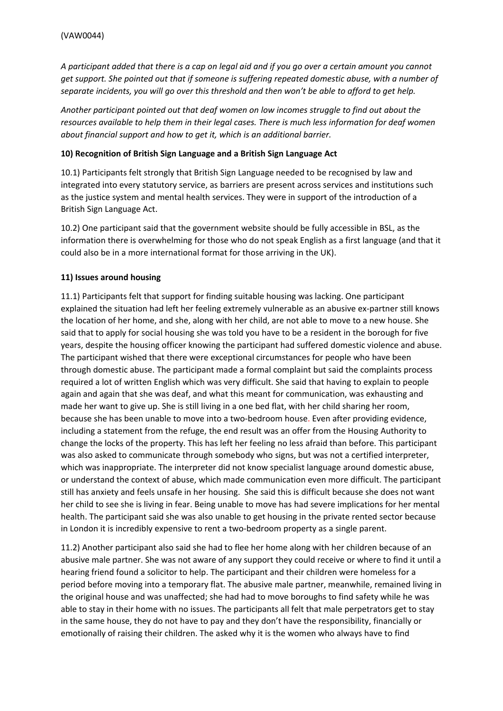A participant added that there is a cap on legal aid and if you go over a certain amount you cannot *get support. She pointed out that if someone is suffering repeated domestic abuse, with a number of separate incidents, you will go over this threshold and then won't be able to afford to get help.*

*Another participant pointed out that deaf women on low incomes struggle to find out about the resources available to help them in their legal cases. There is much less information for deaf women about financial support and how to get it, which is an additional barrier.*

#### **10) Recognition of British Sign Language and a British Sign Language Act**

10.1) Participants felt strongly that British Sign Language needed to be recognised by law and integrated into every statutory service, as barriers are present across services and institutions such as the justice system and mental health services. They were in support of the introduction of a British Sign Language Act.

10.2) One participant said that the government website should be fully accessible in BSL, as the information there is overwhelming for those who do not speak English as a first language (and that it could also be in a more international format for those arriving in the UK).

### **11) Issues around housing**

11.1) Participants felt that support for finding suitable housing was lacking. One participant explained the situation had left her feeling extremely vulnerable as an abusive ex-partner still knows the location of her home, and she, along with her child, are not able to move to a new house. She said that to apply for social housing she was told you have to be a resident in the borough for five years, despite the housing officer knowing the participant had suffered domestic violence and abuse. The participant wished that there were exceptional circumstances for people who have been through domestic abuse. The participant made a formal complaint but said the complaints process required a lot of written English which was very difficult. She said that having to explain to people again and again that she was deaf, and what this meant for communication, was exhausting and made her want to give up. She is still living in a one bed flat, with her child sharing her room, because she has been unable to move into a two-bedroom house. Even after providing evidence, including a statement from the refuge, the end result was an offer from the Housing Authority to change the locks of the property. This has left her feeling no less afraid than before. This participant was also asked to communicate through somebody who signs, but was not a certified interpreter, which was inappropriate. The interpreter did not know specialist language around domestic abuse, or understand the context of abuse, which made communication even more difficult. The participant still has anxiety and feels unsafe in her housing. She said this is difficult because she does not want her child to see she is living in fear. Being unable to move has had severe implications for her mental health. The participant said she was also unable to get housing in the private rented sector because in London it is incredibly expensive to rent a two-bedroom property as a single parent.

11.2) Another participant also said she had to flee her home along with her children because of an abusive male partner. She was not aware of any support they could receive or where to find it until a hearing friend found a solicitor to help. The participant and their children were homeless for a period before moving into a temporary flat. The abusive male partner, meanwhile, remained living in the original house and was unaffected; she had had to move boroughs to find safety while he was able to stay in their home with no issues. The participants all felt that male perpetrators get to stay in the same house, they do not have to pay and they don't have the responsibility, financially or emotionally of raising their children. The asked why it is the women who always have to find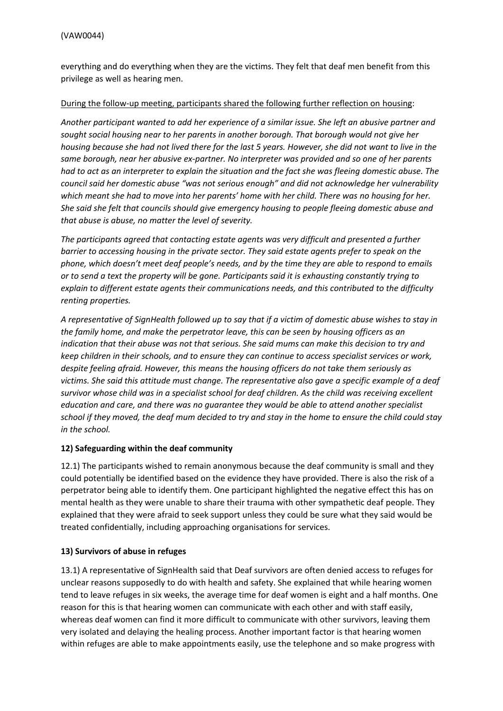everything and do everything when they are the victims. They felt that deaf men benefit from this privilege as well as hearing men.

#### During the follow-up meeting, participants shared the following further reflection on housing:

*Another participant wanted to add her experience of a similar issue. She left an abusive partner and sought social housing near to her parents in another borough. That borough would not give her* housing because she had not lived there for the last 5 years. However, she did not want to live in the *same borough, near her abusive ex-partner. No interpreter was provided and so one of her parents* had to act as an interpreter to explain the situation and the fact she was fleeing domestic abuse. The *council said her domestic abuse "was not serious enough" and did not acknowledge her vulnerability* which meant she had to move into her parents' home with her child. There was no housing for her. *She said she felt that councils should give emergency housing to people fleeing domestic abuse and that abuse is abuse, no matter the level of severity.*

*The participants agreed that contacting estate agents was very difficult and presented a further barrier to accessing housing in the private sector. They said estate agents prefer to speak on the phone, which doesn't meet deaf people's needs, and by the time they are able to respond to emails* or to send a text the property will be gone. Participants said it is exhausting constantly trying to *explain to different estate agents their communications needs, and this contributed to the difficulty renting properties.*

A representative of SianHealth followed up to say that if a victim of domestic abuse wishes to stay in *the family home, and make the perpetrator leave, this can be seen by housing officers as an indication that their abuse was not that serious. She said mums can make this decision to try and keep children in their schools, and to ensure they can continue to access specialist services or work, despite feeling afraid. However, this means the housing officers do not take them seriously as victims. She said this attitude must change. The representative also gave a specific example of a deaf survivor whose child was in a specialist school for deaf children. As the child was receiving excellent education and care, and there was no guarantee they would be able to attend another specialist* school if they moved, the deaf mum decided to try and stay in the home to ensure the child could stay *in the school.*

### **12) Safeguarding within the deaf community**

12.1) The participants wished to remain anonymous because the deaf community is small and they could potentially be identified based on the evidence they have provided. There is also the risk of a perpetrator being able to identify them. One participant highlighted the negative effect this has on mental health as they were unable to share their trauma with other sympathetic deaf people. They explained that they were afraid to seek support unless they could be sure what they said would be treated confidentially, including approaching organisations for services.

### **13) Survivors of abuse in refuges**

13.1) A representative of SignHealth said that Deaf survivors are often denied access to refuges for unclear reasons supposedly to do with health and safety. She explained that while hearing women tend to leave refuges in six weeks, the average time for deaf women is eight and a half months. One reason for this is that hearing women can communicate with each other and with staff easily, whereas deaf women can find it more difficult to communicate with other survivors, leaving them very isolated and delaying the healing process. Another important factor is that hearing women within refuges are able to make appointments easily, use the telephone and so make progress with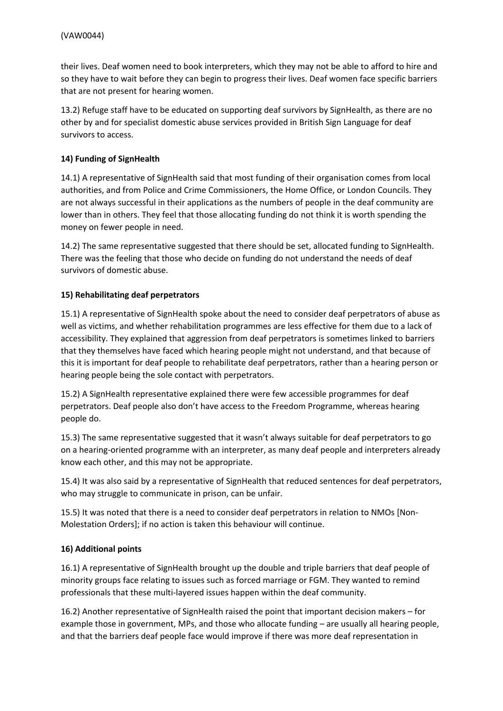their lives. Deaf women need to book interpreters, which they may not be able to afford to hire and so they have to wait before they can begin to progress their lives. Deaf women face specific barriers that are not present for hearing women.

13.2) Refuge staff have to be educated on supporting deaf survivors by SignHealth, as there are no other by and for specialist domestic abuse services provided in British Sign Language for deaf survivors to access.

### **14) Funding of SignHealth**

14.1) A representative of SignHealth said that most funding of their organisation comes from local authorities, and from Police and Crime Commissioners, the Home Office, or London Councils. They are not always successful in their applications as the numbers of people in the deaf community are lower than in others. They feel that those allocating funding do not think it is worth spending the money on fewer people in need.

14.2) The same representative suggested that there should be set, allocated funding to SignHealth. There was the feeling that those who decide on funding do not understand the needs of deaf survivors of domestic abuse.

#### **15) Rehabilitating deaf perpetrators**

15.1) A representative of SignHealth spoke about the need to consider deaf perpetrators of abuse as well as victims, and whether rehabilitation programmes are less effective for them due to a lack of accessibility. They explained that aggression from deaf perpetrators is sometimes linked to barriers that they themselves have faced which hearing people might not understand, and that because of this it is important for deaf people to rehabilitate deaf perpetrators, rather than a hearing person or hearing people being the sole contact with perpetrators.

15.2) A SignHealth representative explained there were few accessible programmes for deaf perpetrators. Deaf people also don't have access to the Freedom Programme, whereas hearing people do.

15.3) The same representative suggested that it wasn't always suitable for deaf perpetrators to go on a hearing-oriented programme with an interpreter, as many deaf people and interpreters already know each other, and this may not be appropriate.

15.4) It was also said by a representative of SignHealth that reduced sentences for deaf perpetrators, who may struggle to communicate in prison, can be unfair.

15.5) It was noted that there is a need to consider deaf perpetrators in relation to NMOs [Non-Molestation Orders]; if no action is taken this behaviour will continue.

#### **16) Additional points**

16.1) A representative of SignHealth brought up the double and triple barriers that deaf people of minority groups face relating to issues such as forced marriage or FGM. They wanted to remind professionals that these multi-layered issues happen within the deaf community.

16.2) Another representative of SignHealth raised the point that important decision makers – for example those in government, MPs, and those who allocate funding – are usually all hearing people, and that the barriers deaf people face would improve if there was more deaf representation in